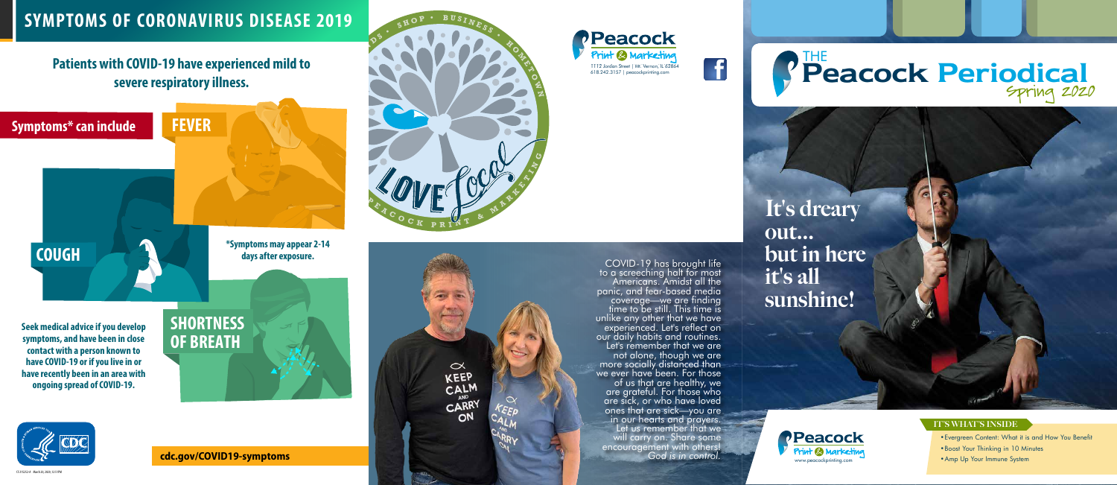**one bureau telephoned**  $\infty$ **KEEP** CALM CARRY

### 1112 Jordan Street | Mt. Vernon, IL 62864<br>618.242.3157 | peacockprinting.com **Periodical** Spring 2020 THE

- Evergreen Content: What it is and How You Benefit
- Boost Your Thinking in 10 Minutes
- Amp Up Your Immune System







It's dreary out... but in here it's all sunshine!



#### IT'S WHAT'S INSIDE



COVID-19 has brought life to a screeching halt for most<br>Americans. Amidst all the<br>panic, and fear-based media panic, and fear-based media coverage—we are finding time to be still. This time is unlike any other that we have experienced. Let's reflect on our daily habits and routines. Let's remember that we are more socially distanced than we ever have been. For those of us that are healthy, we are grateful. For those who are sick, or who have loved ones that are sick—you are in our hearts and prayers. Let us remember that we will carry on. Share some encouragement with others! *God is in control.*

**cdc.gov/COVID19-symptoms**

### **Patients with COVID-19 have experienced mild to severe respiratory illness.**





S 315252-A March 20, 2020, 12:51PM

### **SYMPTOMS OF CORONAVIRUS DISEASE 2019**